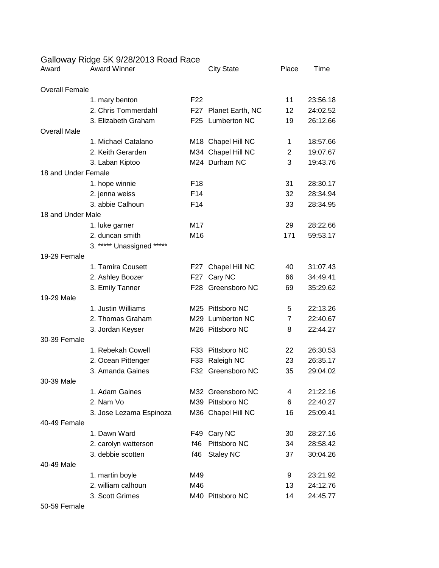## Galloway Ridge 5K 9/28/2013 Road Race

| <b>Overall Female</b><br>F <sub>22</sub><br>11<br>23:56.18<br>1. mary benton<br>2. Chris Tommerdahl<br>F27 Planet Earth, NC<br>12<br>24:02.52<br>F25 Lumberton NC<br>3. Elizabeth Graham<br>19<br>26:12.66<br><b>Overall Male</b><br>1. Michael Catalano<br>M18 Chapel Hill NC<br>18:57.66<br>1<br>2. Keith Gerarden<br>19:07.67<br>M34 Chapel Hill NC<br>2<br>M24 Durham NC<br>3<br>19:43.76<br>3. Laban Kiptoo<br>18 and Under Female<br>F <sub>18</sub><br>31<br>28:30.17<br>1. hope winnie<br>F14<br>2. jenna weiss<br>32<br>28:34.94<br>3. abbie Calhoun<br>F <sub>14</sub><br>33<br>28:34.95<br>18 and Under Male<br>M17<br>29<br>28:22.66<br>1. luke garner<br>2. duncan smith<br>M16<br>171<br>59:53.17 |
|-----------------------------------------------------------------------------------------------------------------------------------------------------------------------------------------------------------------------------------------------------------------------------------------------------------------------------------------------------------------------------------------------------------------------------------------------------------------------------------------------------------------------------------------------------------------------------------------------------------------------------------------------------------------------------------------------------------------|
|                                                                                                                                                                                                                                                                                                                                                                                                                                                                                                                                                                                                                                                                                                                 |
|                                                                                                                                                                                                                                                                                                                                                                                                                                                                                                                                                                                                                                                                                                                 |
|                                                                                                                                                                                                                                                                                                                                                                                                                                                                                                                                                                                                                                                                                                                 |
|                                                                                                                                                                                                                                                                                                                                                                                                                                                                                                                                                                                                                                                                                                                 |
|                                                                                                                                                                                                                                                                                                                                                                                                                                                                                                                                                                                                                                                                                                                 |
|                                                                                                                                                                                                                                                                                                                                                                                                                                                                                                                                                                                                                                                                                                                 |
|                                                                                                                                                                                                                                                                                                                                                                                                                                                                                                                                                                                                                                                                                                                 |
|                                                                                                                                                                                                                                                                                                                                                                                                                                                                                                                                                                                                                                                                                                                 |
|                                                                                                                                                                                                                                                                                                                                                                                                                                                                                                                                                                                                                                                                                                                 |
|                                                                                                                                                                                                                                                                                                                                                                                                                                                                                                                                                                                                                                                                                                                 |
|                                                                                                                                                                                                                                                                                                                                                                                                                                                                                                                                                                                                                                                                                                                 |
|                                                                                                                                                                                                                                                                                                                                                                                                                                                                                                                                                                                                                                                                                                                 |
|                                                                                                                                                                                                                                                                                                                                                                                                                                                                                                                                                                                                                                                                                                                 |
|                                                                                                                                                                                                                                                                                                                                                                                                                                                                                                                                                                                                                                                                                                                 |
|                                                                                                                                                                                                                                                                                                                                                                                                                                                                                                                                                                                                                                                                                                                 |
| 3. ***** Unassigned *****                                                                                                                                                                                                                                                                                                                                                                                                                                                                                                                                                                                                                                                                                       |
| 19-29 Female                                                                                                                                                                                                                                                                                                                                                                                                                                                                                                                                                                                                                                                                                                    |
| 1. Tamira Cousett<br>Chapel Hill NC<br>31:07.43<br>F27<br>40                                                                                                                                                                                                                                                                                                                                                                                                                                                                                                                                                                                                                                                    |
| Cary NC<br>34:49.41<br>2. Ashley Boozer<br>F27<br>66                                                                                                                                                                                                                                                                                                                                                                                                                                                                                                                                                                                                                                                            |
| F28 Greensboro NC<br>35:29.62<br>3. Emily Tanner<br>69                                                                                                                                                                                                                                                                                                                                                                                                                                                                                                                                                                                                                                                          |
| 19-29 Male                                                                                                                                                                                                                                                                                                                                                                                                                                                                                                                                                                                                                                                                                                      |
| 1. Justin Williams<br>M25 Pittsboro NC<br>22:13.26<br>5                                                                                                                                                                                                                                                                                                                                                                                                                                                                                                                                                                                                                                                         |
| 2. Thomas Graham<br>22:40.67<br>M29 Lumberton NC<br>$\overline{7}$                                                                                                                                                                                                                                                                                                                                                                                                                                                                                                                                                                                                                                              |
| M26 Pittsboro NC<br>8<br>22:44.27<br>3. Jordan Keyser                                                                                                                                                                                                                                                                                                                                                                                                                                                                                                                                                                                                                                                           |
| 30-39 Female                                                                                                                                                                                                                                                                                                                                                                                                                                                                                                                                                                                                                                                                                                    |
| 1. Rebekah Cowell<br>Pittsboro NC<br>22<br>26:30.53<br>F33                                                                                                                                                                                                                                                                                                                                                                                                                                                                                                                                                                                                                                                      |
| F33 Raleigh NC<br>23<br>26:35.17<br>2. Ocean Pittenger                                                                                                                                                                                                                                                                                                                                                                                                                                                                                                                                                                                                                                                          |
| 3. Amanda Gaines<br>F32 Greensboro NC<br>35<br>29:04.02                                                                                                                                                                                                                                                                                                                                                                                                                                                                                                                                                                                                                                                         |
| 30-39 Male                                                                                                                                                                                                                                                                                                                                                                                                                                                                                                                                                                                                                                                                                                      |
| 1. Adam Gaines<br>M32 Greensboro NC<br>21:22.16<br>4<br>2. Nam Vo<br>M39 Pittsboro NC<br>22:40.27<br>6                                                                                                                                                                                                                                                                                                                                                                                                                                                                                                                                                                                                          |
| M36 Chapel Hill NC<br>25:09.41<br>3. Jose Lezama Espinoza<br>16                                                                                                                                                                                                                                                                                                                                                                                                                                                                                                                                                                                                                                                 |
| 40-49 Female                                                                                                                                                                                                                                                                                                                                                                                                                                                                                                                                                                                                                                                                                                    |
| 1. Dawn Ward<br>Cary NC<br>28:27.16<br>F49<br>30                                                                                                                                                                                                                                                                                                                                                                                                                                                                                                                                                                                                                                                                |
| Pittsboro NC<br>f46<br>34<br>28:58.42<br>2. carolyn watterson                                                                                                                                                                                                                                                                                                                                                                                                                                                                                                                                                                                                                                                   |
| 3. debbie scotten<br>f46<br><b>Staley NC</b><br>30:04.26<br>37                                                                                                                                                                                                                                                                                                                                                                                                                                                                                                                                                                                                                                                  |
| 40-49 Male                                                                                                                                                                                                                                                                                                                                                                                                                                                                                                                                                                                                                                                                                                      |
| 1. martin boyle<br>M49<br>23:21.92<br>9                                                                                                                                                                                                                                                                                                                                                                                                                                                                                                                                                                                                                                                                         |
| 2. william calhoun<br>M46<br>24:12.76<br>13                                                                                                                                                                                                                                                                                                                                                                                                                                                                                                                                                                                                                                                                     |
| 3. Scott Grimes<br>M40 Pittsboro NC<br>24:45.77<br>14                                                                                                                                                                                                                                                                                                                                                                                                                                                                                                                                                                                                                                                           |

50-59 Female